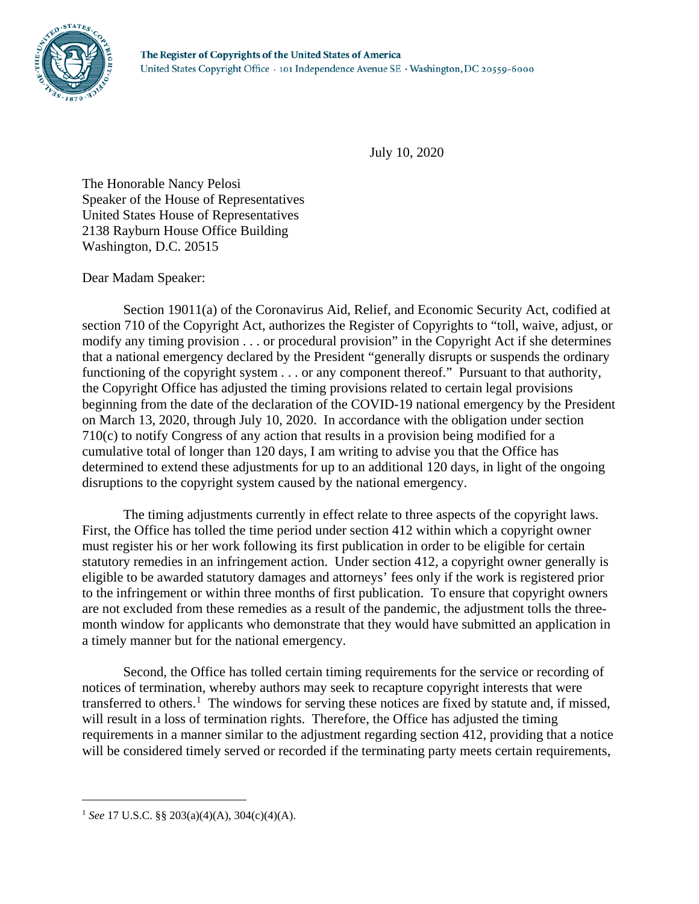

July 10, 2020

The Honorable Nancy Pelosi Speaker of the House of Representatives United States House of Representatives 2138 Rayburn House Office Building Washington, D.C. 20515

## Dear Madam Speaker:

Section 19011(a) of the Coronavirus Aid, Relief, and Economic Security Act, codified at section 710 of the Copyright Act, authorizes the Register of Copyrights to "toll, waive, adjust, or modify any timing provision . . . or procedural provision" in the Copyright Act if she determines that a national emergency declared by the President "generally disrupts or suspends the ordinary functioning of the copyright system . . . or any component thereof." Pursuant to that authority, the Copyright Office has adjusted the timing provisions related to certain legal provisions beginning from the date of the declaration of the COVID-19 national emergency by the President on March 13, 2020, through July 10, 2020. In accordance with the obligation under section 710(c) to notify Congress of any action that results in a provision being modified for a cumulative total of longer than 120 days, I am writing to advise you that the Office has determined to extend these adjustments for up to an additional 120 days, in light of the ongoing disruptions to the copyright system caused by the national emergency.

The timing adjustments currently in effect relate to three aspects of the copyright laws. First, the Office has tolled the time period under section 412 within which a copyright owner must register his or her work following its first publication in order to be eligible for certain statutory remedies in an infringement action. Under section 412, a copyright owner generally is eligible to be awarded statutory damages and attorneys' fees only if the work is registered prior to the infringement or within three months of first publication. To ensure that copyright owners are not excluded from these remedies as a result of the pandemic, the adjustment tolls the threemonth window for applicants who demonstrate that they would have submitted an application in a timely manner but for the national emergency.

Second, the Office has tolled certain timing requirements for the service or recording of notices of termination, whereby authors may seek to recapture copyright interests that were transferred to others.<sup>[1](#page-0-0)</sup> The windows for serving these notices are fixed by statute and, if missed, will result in a loss of termination rights. Therefore, the Office has adjusted the timing requirements in a manner similar to the adjustment regarding section 412, providing that a notice will be considered timely served or recorded if the terminating party meets certain requirements,

 $\overline{a}$ 

<span id="page-0-0"></span><sup>1</sup> *See* 17 U.S.C. §§ 203(a)(4)(A), 304(c)(4)(A).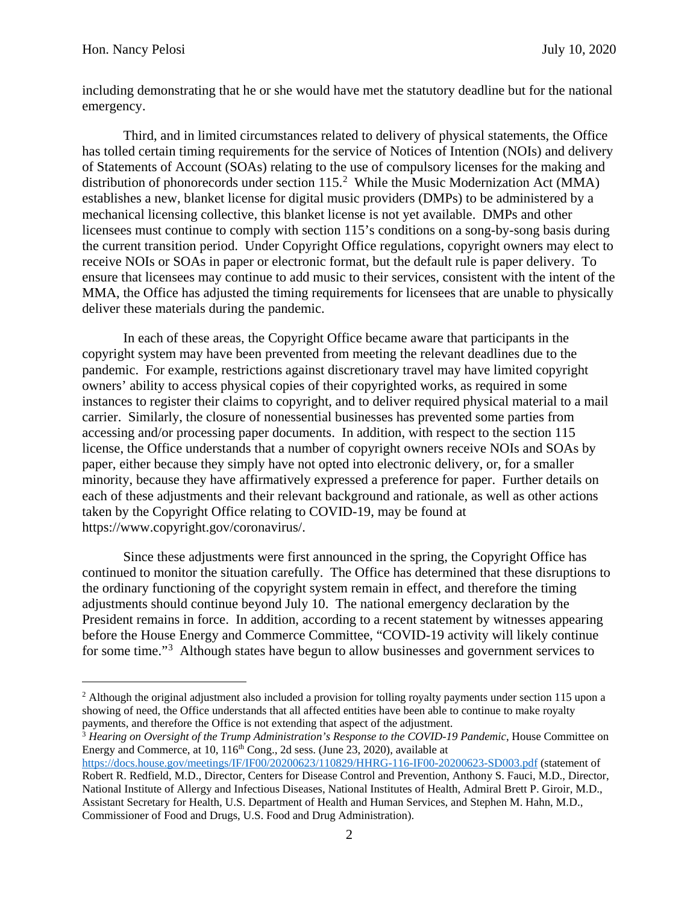$\overline{a}$ 

including demonstrating that he or she would have met the statutory deadline but for the national emergency.

Third, and in limited circumstances related to delivery of physical statements, the Office has tolled certain timing requirements for the service of Notices of Intention (NOIs) and delivery of Statements of Account (SOAs) relating to the use of compulsory licenses for the making and distribution of phonorecords under section  $115.<sup>2</sup>$  $115.<sup>2</sup>$  $115.<sup>2</sup>$  While the Music Modernization Act (MMA) establishes a new, blanket license for digital music providers (DMPs) to be administered by a mechanical licensing collective, this blanket license is not yet available. DMPs and other licensees must continue to comply with section 115's conditions on a song-by-song basis during the current transition period. Under Copyright Office regulations, copyright owners may elect to receive NOIs or SOAs in paper or electronic format, but the default rule is paper delivery. To ensure that licensees may continue to add music to their services, consistent with the intent of the MMA, the Office has adjusted the timing requirements for licensees that are unable to physically deliver these materials during the pandemic.

In each of these areas, the Copyright Office became aware that participants in the copyright system may have been prevented from meeting the relevant deadlines due to the pandemic. For example, restrictions against discretionary travel may have limited copyright owners' ability to access physical copies of their copyrighted works, as required in some instances to register their claims to copyright, and to deliver required physical material to a mail carrier. Similarly, the closure of nonessential businesses has prevented some parties from accessing and/or processing paper documents. In addition, with respect to the section 115 license, the Office understands that a number of copyright owners receive NOIs and SOAs by paper, either because they simply have not opted into electronic delivery, or, for a smaller minority, because they have affirmatively expressed a preference for paper. Further details on each of these adjustments and their relevant background and rationale, as well as other actions taken by the Copyright Office relating to COVID-19, may be found at https://www.copyright.gov/coronavirus/.

Since these adjustments were first announced in the spring, the Copyright Office has continued to monitor the situation carefully. The Office has determined that these disruptions to the ordinary functioning of the copyright system remain in effect, and therefore the timing adjustments should continue beyond July 10. The national emergency declaration by the President remains in force. In addition, according to a recent statement by witnesses appearing before the House Energy and Commerce Committee, "COVID-19 activity will likely continue for some time."<sup>[3](#page-1-1)</sup> Although states have begun to allow businesses and government services to

<span id="page-1-1"></span><sup>3</sup> *Hearing on Oversight of the Trump Administration's Response to the COVID-19 Pandemic*, House Committee on Energy and Commerce, at 10, 116<sup>th</sup> Cong., 2d sess. (June 23, 2020), available at

<span id="page-1-0"></span><sup>&</sup>lt;sup>2</sup> Although the original adjustment also included a provision for tolling royalty payments under section 115 upon a showing of need, the Office understands that all affected entities have been able to continue to make royalty payments, and therefore the Office is not extending that aspect of the adjustment.

<https://docs.house.gov/meetings/IF/IF00/20200623/110829/HHRG-116-IF00-20200623-SD003.pdf> (statement of Robert R. Redfield, M.D., Director, Centers for Disease Control and Prevention, Anthony S. Fauci, M.D., Director, National Institute of Allergy and Infectious Diseases, National Institutes of Health, Admiral Brett P. Giroir, M.D., Assistant Secretary for Health, U.S. Department of Health and Human Services, and Stephen M. Hahn, M.D., Commissioner of Food and Drugs, U.S. Food and Drug Administration).